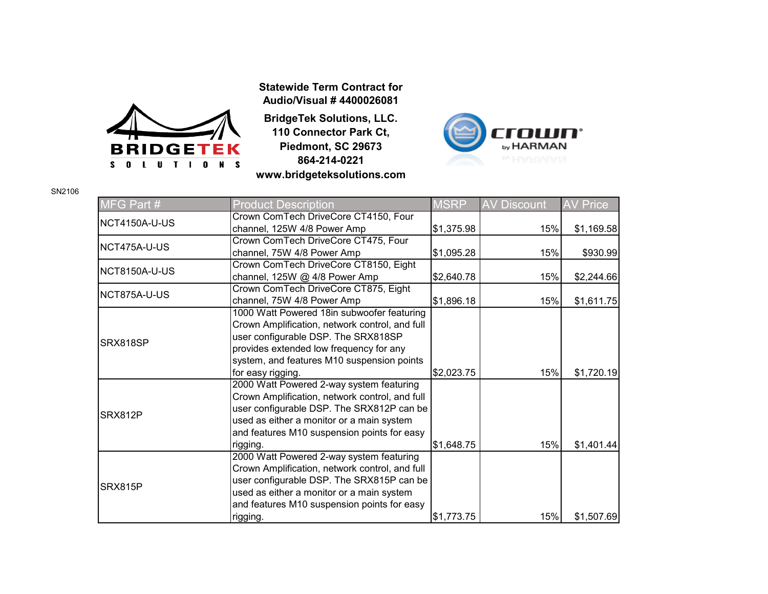

**Statewide Term Contract for Audio/Visual # 4400026081**

**BridgeTek Solutions, LLC. 110 Connector Park Ct, Piedmont, SC 29673 864-214-0221 www.bridgeteksolutions.com**



| MFG Part #     | <b>Product Description</b>                     | <b>MSRP</b> | <b>AV Discount</b> | <b>AV Price</b> |
|----------------|------------------------------------------------|-------------|--------------------|-----------------|
| NCT4150A-U-US  | Crown ComTech DriveCore CT4150, Four           |             |                    |                 |
|                | channel, 125W 4/8 Power Amp                    | \$1,375.98  | 15%                | \$1,169.58      |
| NCT475A-U-US   | Crown ComTech DriveCore CT475, Four            |             |                    |                 |
|                | channel, 75W 4/8 Power Amp                     | \$1,095.28  | 15%                | \$930.99        |
| NCT8150A-U-US  | Crown ComTech DriveCore CT8150, Eight          |             |                    |                 |
|                | channel, 125W @ 4/8 Power Amp                  | \$2,640.78  | 15%                | \$2,244.66      |
| NCT875A-U-US   | Crown ComTech DriveCore CT875, Eight           |             |                    |                 |
|                | channel, 75W 4/8 Power Amp                     | \$1,896.18  | 15%                | \$1,611.75      |
| SRX818SP       | 1000 Watt Powered 18in subwoofer featuring     |             |                    |                 |
|                | Crown Amplification, network control, and full |             |                    |                 |
|                | user configurable DSP. The SRX818SP            |             |                    |                 |
|                | provides extended low frequency for any        |             |                    |                 |
|                | system, and features M10 suspension points     |             |                    |                 |
|                | for easy rigging.                              | \$2,023.75  | 15%                | \$1,720.19      |
| SRX812P        | 2000 Watt Powered 2-way system featuring       |             |                    |                 |
|                | Crown Amplification, network control, and full |             |                    |                 |
|                | user configurable DSP. The SRX812P can be      |             |                    |                 |
|                | used as either a monitor or a main system      |             |                    |                 |
|                | and features M10 suspension points for easy    |             |                    |                 |
|                | rigging.                                       | \$1,648.75  | 15%                | \$1,401.44      |
| <b>SRX815P</b> | 2000 Watt Powered 2-way system featuring       |             |                    |                 |
|                | Crown Amplification, network control, and full |             |                    |                 |
|                | user configurable DSP. The SRX815P can be      |             |                    |                 |
|                | used as either a monitor or a main system      |             |                    |                 |
|                | and features M10 suspension points for easy    |             |                    |                 |
|                | rigging.                                       | \$1,773.75  | 15%                | \$1,507.69      |

SN2106